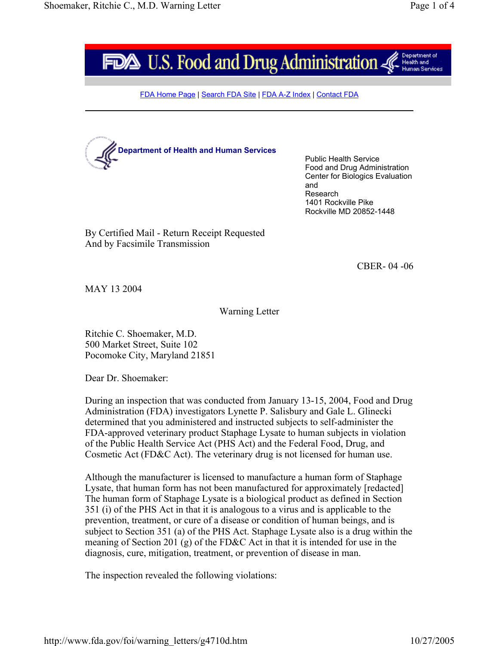

FDA Home Page | Search FDA Site | FDA A-Z Index | Contact FDA



Public Health Service Food and Drug Administration Center for Biologics Evaluation and Research 1401 Rockville Pike Rockville MD 20852-1448

By Certified Mail - Return Receipt Requested And by Facsimile Transmission

CBER- 04 -06

MAY 13 2004

## Warning Letter

Ritchie C. Shoemaker, M.D. 500 Market Street, Suite 102 Pocomoke City, Maryland 21851

Dear Dr. Shoemaker:

During an inspection that was conducted from January 13-15, 2004, Food and Drug Administration (FDA) investigators Lynette P. Salisbury and Gale L. Glinecki determined that you administered and instructed subjects to self-administer the FDA-approved veterinary product Staphage Lysate to human subjects in violation of the Public Health Service Act (PHS Act) and the Federal Food, Drug, and Cosmetic Act (FD&C Act). The veterinary drug is not licensed for human use.

Although the manufacturer is licensed to manufacture a human form of Staphage Lysate, that human form has not been manufactured for approximately [redacted] The human form of Staphage Lysate is a biological product as defined in Section 351 (i) of the PHS Act in that it is analogous to a virus and is applicable to the prevention, treatment, or cure of a disease or condition of human beings, and is subject to Section 351 (a) of the PHS Act. Staphage Lysate also is a drug within the meaning of Section 201 (g) of the FD&C Act in that it is intended for use in the diagnosis, cure, mitigation, treatment, or prevention of disease in man.

The inspection revealed the following violations: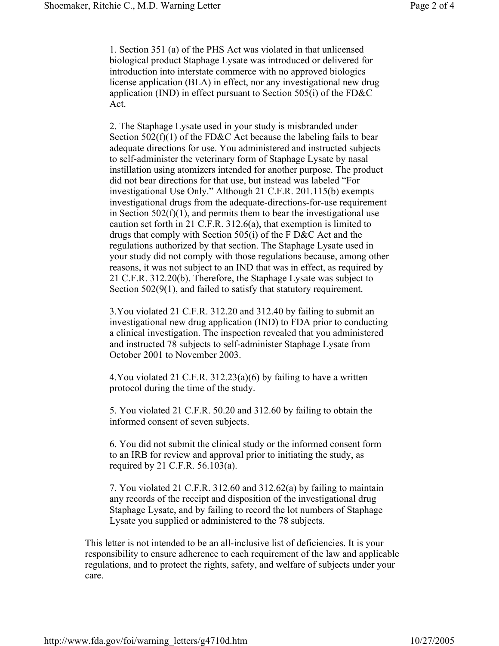1. Section 351 (a) of the PHS Act was violated in that unlicensed biological product Staphage Lysate was introduced or delivered for introduction into interstate commerce with no approved biologics license application (BLA) in effect, nor any investigational new drug application (IND) in effect pursuant to Section 505(i) of the FD&C Act.

2. The Staphage Lysate used in your study is misbranded under Section  $502(f)(1)$  of the FD&C Act because the labeling fails to bear adequate directions for use. You administered and instructed subjects to self-administer the veterinary form of Staphage Lysate by nasal instillation using atomizers intended for another purpose. The product did not bear directions for that use, but instead was labeled "For investigational Use Only." Although 21 C.F.R. 201.115(b) exempts investigational drugs from the adequate-directions-for-use requirement in Section  $502(f)(1)$ , and permits them to bear the investigational use caution set forth in 21 C.F.R. 312.6(a), that exemption is limited to drugs that comply with Section 505(i) of the F D&C Act and the regulations authorized by that section. The Staphage Lysate used in your study did not comply with those regulations because, among other reasons, it was not subject to an IND that was in effect, as required by 21 C.F.R. 312.20(b). Therefore, the Staphage Lysate was subject to Section 502(9(1), and failed to satisfy that statutory requirement.

3.You violated 21 C.F.R. 312.20 and 312.40 by failing to submit an investigational new drug application (IND) to FDA prior to conducting a clinical investigation. The inspection revealed that you administered and instructed 78 subjects to self-administer Staphage Lysate from October 2001 to November 2003.

4.You violated 21 C.F.R. 312.23(a)(6) by failing to have a written protocol during the time of the study.

5. You violated 21 C.F.R. 50.20 and 312.60 by failing to obtain the informed consent of seven subjects.

6. You did not submit the clinical study or the informed consent form to an IRB for review and approval prior to initiating the study, as required by 21 C.F.R. 56.103(a).

7. You violated 21 C.F.R. 312.60 and 312.62(a) by failing to maintain any records of the receipt and disposition of the investigational drug Staphage Lysate, and by failing to record the lot numbers of Staphage Lysate you supplied or administered to the 78 subjects.

This letter is not intended to be an all-inclusive list of deficiencies. It is your responsibility to ensure adherence to each requirement of the law and applicable regulations, and to protect the rights, safety, and welfare of subjects under your care.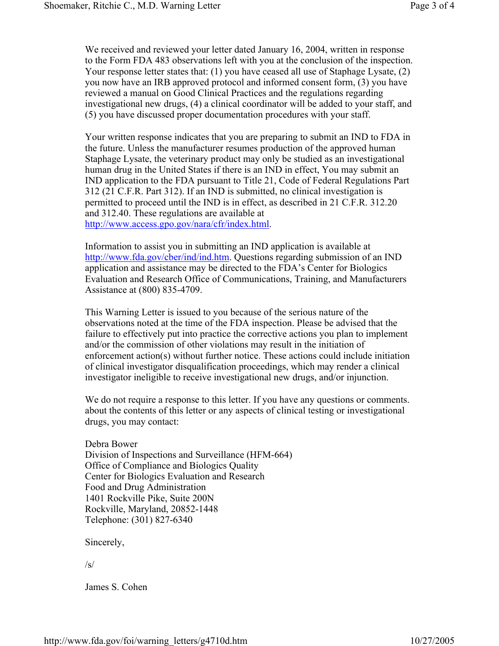We received and reviewed your letter dated January 16, 2004, written in response to the Form FDA 483 observations left with you at the conclusion of the inspection. Your response letter states that: (1) you have ceased all use of Staphage Lysate, (2) you now have an IRB approved protocol and informed consent form, (3) you have reviewed a manual on Good Clinical Practices and the regulations regarding investigational new drugs, (4) a clinical coordinator will be added to your staff, and (5) you have discussed proper documentation procedures with your staff.

Your written response indicates that you are preparing to submit an IND to FDA in the future. Unless the manufacturer resumes production of the approved human Staphage Lysate, the veterinary product may only be studied as an investigational human drug in the United States if there is an IND in effect, You may submit an IND application to the FDA pursuant to Title 21, Code of Federal Regulations Part 312 (21 C.F.R. Part 312). If an IND is submitted, no clinical investigation is permitted to proceed until the IND is in effect, as described in 21 C.F.R. 312.20 and 312.40. These regulations are available at http://www.access.gpo.gov/nara/cfr/index.html.

Information to assist you in submitting an IND application is available at http://www.fda.gov/cber/ind/ind.htm. Questions regarding submission of an IND application and assistance may be directed to the FDA's Center for Biologics Evaluation and Research Office of Communications, Training, and Manufacturers Assistance at (800) 835-4709.

This Warning Letter is issued to you because of the serious nature of the observations noted at the time of the FDA inspection. Please be advised that the failure to effectively put into practice the corrective actions you plan to implement and/or the commission of other violations may result in the initiation of enforcement action(s) without further notice. These actions could include initiation of clinical investigator disqualification proceedings, which may render a clinical investigator ineligible to receive investigational new drugs, and/or injunction.

We do not require a response to this letter. If you have any questions or comments. about the contents of this letter or any aspects of clinical testing or investigational drugs, you may contact:

Debra Bower Division of Inspections and Surveillance (HFM-664) Office of Compliance and Biologics Quality Center for Biologics Evaluation and Research Food and Drug Administration 1401 Rockville Pike, Suite 200N Rockville, Maryland, 20852-1448 Telephone: (301) 827-6340

Sincerely,

/s/

James S. Cohen